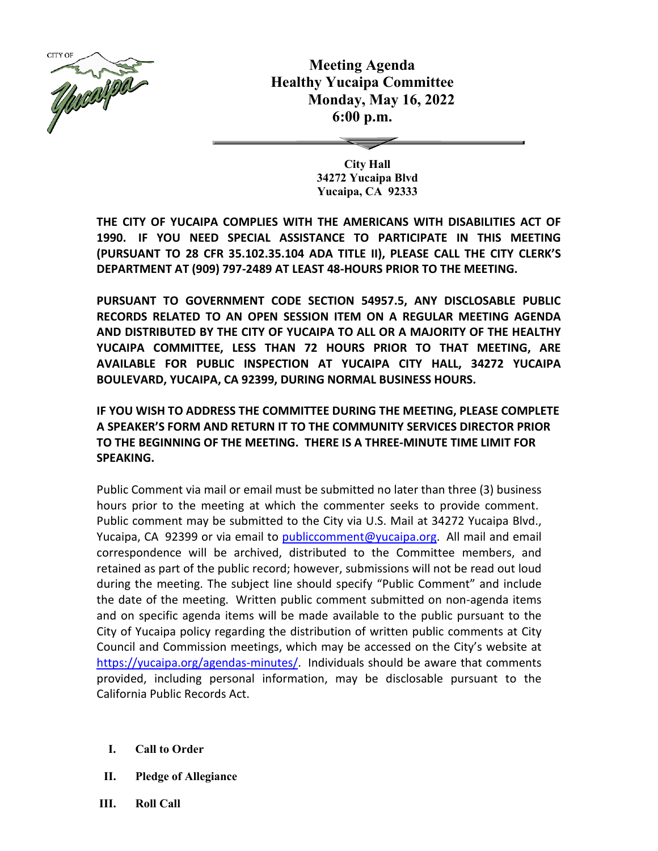

**Meeting Agenda Healthy Yucaipa Committee Monday, May 16, 2022 6:00 p.m.**

> **City Hall 34272 Yucaipa Blvd Yucaipa, CA 92333**

**THE CITY OF YUCAIPA COMPLIES WITH THE AMERICANS WITH DISABILITIES ACT OF 1990. IF YOU NEED SPECIAL ASSISTANCE TO PARTICIPATE IN THIS MEETING (PURSUANT TO 28 CFR 35.102.35.104 ADA TITLE II), PLEASE CALL THE CITY CLERK'S DEPARTMENT AT (909) 797-2489 AT LEAST 48-HOURS PRIOR TO THE MEETING.**

**PURSUANT TO GOVERNMENT CODE SECTION 54957.5, ANY DISCLOSABLE PUBLIC RECORDS RELATED TO AN OPEN SESSION ITEM ON A REGULAR MEETING AGENDA AND DISTRIBUTED BY THE CITY OF YUCAIPA TO ALL OR A MAJORITY OF THE HEALTHY YUCAIPA COMMITTEE, LESS THAN 72 HOURS PRIOR TO THAT MEETING, ARE AVAILABLE FOR PUBLIC INSPECTION AT YUCAIPA CITY HALL, 34272 YUCAIPA BOULEVARD, YUCAIPA, CA 92399, DURING NORMAL BUSINESS HOURS.**

**IF YOU WISH TO ADDRESS THE COMMITTEE DURING THE MEETING, PLEASE COMPLETE A SPEAKER'S FORM AND RETURN IT TO THE COMMUNITY SERVICES DIRECTOR PRIOR TO THE BEGINNING OF THE MEETING. THERE IS A THREE-MINUTE TIME LIMIT FOR SPEAKING.**

Public Comment via mail or email must be submitted no later than three (3) business hours prior to the meeting at which the commenter seeks to provide comment. Public comment may be submitted to the City via U.S. Mail at 34272 Yucaipa Blvd., Yucaipa, CA 92399 or via email to [publiccomment@yucaipa.org.](mailto:publiccomment@yucaipa.org) All mail and email correspondence will be archived, distributed to the Committee members, and retained as part of the public record; however, submissions will not be read out loud during the meeting. The subject line should specify "Public Comment" and include the date of the meeting. Written public comment submitted on non-agenda items and on specific agenda items will be made available to the public pursuant to the City of Yucaipa policy regarding the distribution of written public comments at City Council and Commission meetings, which may be accessed on the City's website at [https://yucaipa.org/agendas-minutes/.](https://linkprotect.cudasvc.com/url?a=https%3a%2f%2fyucaipa.org%2fagendas-minutes%2f&c=E,1,8iu_aLaCQsOmYjnWdhNeQgU9-XVoB5a0CzOs_nrmw5nAY-k_y7XZa3JAnXx2dduIQhERc5pzGH0uA9TG0OvmT6S6_YXFTmLh8Gy4-DGG9zUALHtuXEtWj2x5&typo=1) Individuals should be aware that comments provided, including personal information, may be disclosable pursuant to the California Public Records Act.

- **I. Call to Order**
- **II. Pledge of Allegiance**
- **III. Roll Call**